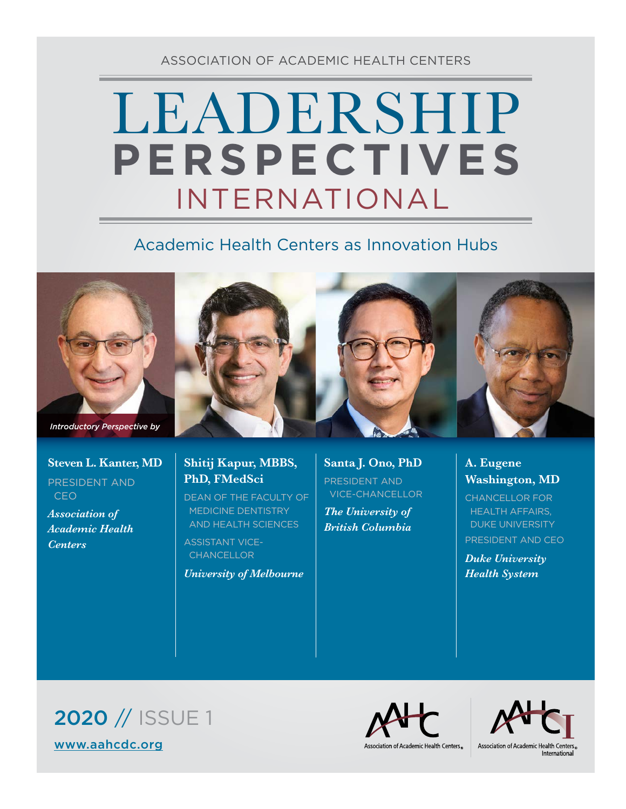ASSOCIATION OF ACADEMIC HEALTH CENTERS

## LEADERSHIP INTERNATIONAL **PERSPECTIVES**

## Academic Health Centers as Innovation Hubs



*Introductory Perspective by*

## **Steven L. Kanter, MD**

PRESIDENT AND CEO

*Association of Academic Health Centers*



**PhD, FMedSci**

ASSISTANT VICE- **CHANCELLOR** 

DEAN OF THE FACULTY OF MEDICINE DENTISTRY AND HEALTH SCIENCES

*University of Melbourne*





## **A. Eugene Washington, MD**

CHANCELLOR FOR HEALTH AFFAIRS, DUKE UNIVERSITY PRESIDENT AND CEO

*Duke University Health System*

2020 // ISSUE 1 [www.aahcdc.org](http://www.aahcdc.org)



Association of Academic Health Centers.



&Association of Academic Health Centers<br>International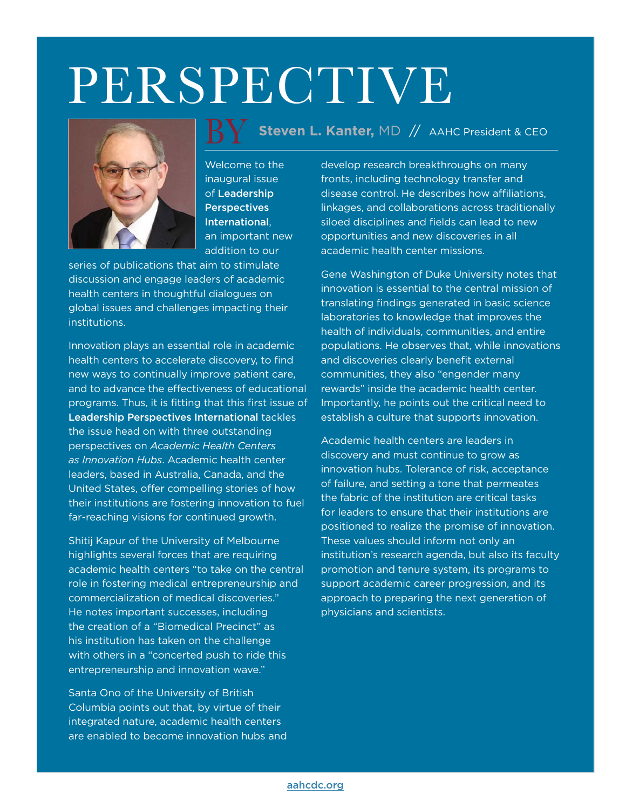# PERSPECTIVE



Welcome to the inaugural issue of Leadership **Perspectives** International, an important new addition to our

series of publications that aim to stimulate discussion and engage leaders of academic health centers in thoughtful dialogues on global issues and challenges impacting their institutions.

Innovation plays an essential role in academic health centers to accelerate discovery, to find new ways to continually improve patient care, and to advance the effectiveness of educational programs. Thus, it is fitting that this first issue of Leadership Perspectives International tackles the issue head on with three outstanding perspectives on *Academic Health Centers as Innovation Hubs*. Academic health center leaders, based in Australia, Canada, and the United States, offer compelling stories of how their institutions are fostering innovation to fuel far-reaching visions for continued growth.

Shitij Kapur of the University of Melbourne highlights several forces that are requiring academic health centers "to take on the central role in fostering medical entrepreneurship and commercialization of medical discoveries." He notes important successes, including the creation of a "Biomedical Precinct" as his institution has taken on the challenge with others in a "concerted push to ride this entrepreneurship and innovation wave."

Santa Ono of the University of British Columbia points out that, by virtue of their integrated nature, academic health centers are enabled to become innovation hubs and

### **Steven L. Kanter,** MD // AAHC President & CEO <u>BY</u>

develop research breakthroughs on many fronts, including technology transfer and disease control. He describes how affiliations, linkages, and collaborations across traditionally siloed disciplines and fields can lead to new opportunities and new discoveries in all academic health center missions.

Gene Washington of Duke University notes that innovation is essential to the central mission of translating findings generated in basic science laboratories to knowledge that improves the health of individuals, communities, and entire populations. He observes that, while innovations and discoveries clearly benefit external communities, they also "engender many rewards" inside the academic health center. Importantly, he points out the critical need to establish a culture that supports innovation.

Academic health centers are leaders in discovery and must continue to grow as innovation hubs. Tolerance of risk, acceptance of failure, and setting a tone that permeates the fabric of the institution are critical tasks for leaders to ensure that their institutions are positioned to realize the promise of innovation. These values should inform not only an institution's research agenda, but also its faculty promotion and tenure system, its programs to support academic career progression, and its approach to preparing the next generation of physicians and scientists.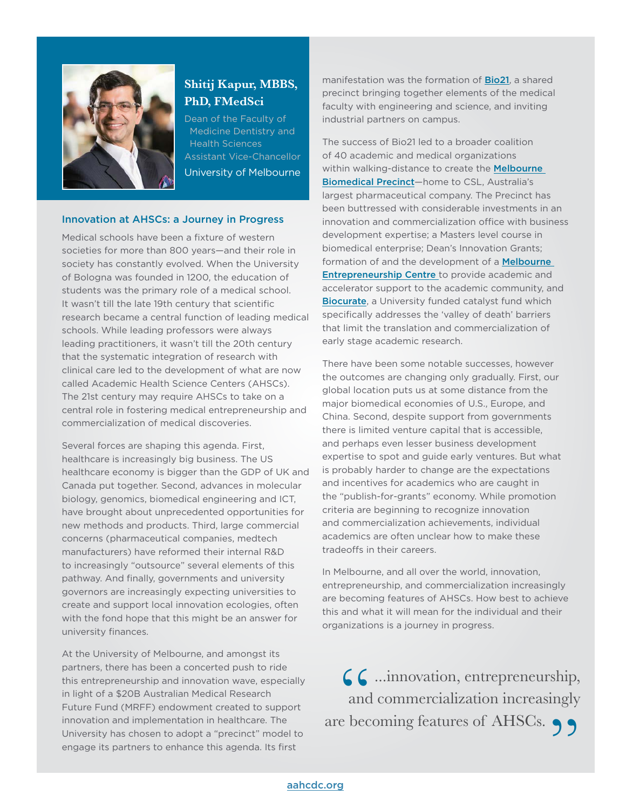

#### **Shitij Kapur, MBBS, PhD, FMedSci**

Dean of the Faculty of Medicine Dentistry and Health Sciences Assistant Vice-Chancellor University of Melbourne

#### Innovation at AHSCs: a Journey in Progress

Medical schools have been a fixture of western societies for more than 800 years—and their role in society has constantly evolved. When the University of Bologna was founded in 1200, the education of students was the primary role of a medical school. It wasn't till the late 19th century that scientific research became a central function of leading medical schools. While leading professors were always leading practitioners, it wasn't till the 20th century that the systematic integration of research with clinical care led to the development of what are now called Academic Health Science Centers (AHSCs). The 21st century may require AHSCs to take on a central role in fostering medical entrepreneurship and commercialization of medical discoveries.

Several forces are shaping this agenda. First, healthcare is increasingly big business. The US healthcare economy is bigger than the GDP of UK and Canada put together. Second, advances in molecular biology, genomics, biomedical engineering and ICT, have brought about unprecedented opportunities for new methods and products. Third, large commercial concerns (pharmaceutical companies, medtech manufacturers) have reformed their internal R&D to increasingly "outsource" several elements of this pathway. And finally, governments and university governors are increasingly expecting universities to create and support local innovation ecologies, often with the fond hope that this might be an answer for university finances.

At the University of Melbourne, and amongst its partners, there has been a concerted push to ride this entrepreneurship and innovation wave, especially in light of a \$20B Australian Medical Research Future Fund (MRFF) endowment created to support innovation and implementation in healthcare. The University has chosen to adopt a "precinct" model to engage its partners to enhance this agenda. Its first

manifestation was the formation of **[Bio21](http://www.bio21.unimelb.edu.au/)**, a shared precinct bringing together elements of the medical faculty with engineering and science, and inviting industrial partners on campus.

The success of Bio21 led to a broader coalition of 40 academic and medical organizations within walking-distance to create the **Melbourne** [Biomedical Precinct](https://www.melbournebiomed.com/)—home to CSL, Australia's largest pharmaceutical company. The Precinct has been buttressed with considerable investments in an innovation and commercialization office with business development expertise; a Masters level course in biomedical enterprise; Dean's Innovation Grants; formation of and the development of a **Melbourne** [Entrepreneurship Centre](https://www.unimelb.edu.au/mec/home) to provide academic and accelerator support to the academic community, and [Biocurate](http://biocurate.com/), a University funded catalyst fund which specifically addresses the 'valley of death' barriers that limit the translation and commercialization of early stage academic research.

There have been some notable successes, however the outcomes are changing only gradually. First, our global location puts us at some distance from the major biomedical economies of U.S., Europe, and China. Second, despite support from governments there is limited venture capital that is accessible, and perhaps even lesser business development expertise to spot and guide early ventures. But what is probably harder to change are the expectations and incentives for academics who are caught in the "publish-for-grants" economy. While promotion criteria are beginning to recognize innovation and commercialization achievements, individual academics are often unclear how to make these tradeoffs in their careers.

In Melbourne, and all over the world, innovation, entrepreneurship, and commercialization increasingly are becoming features of AHSCs. How best to achieve this and what it will mean for the individual and their organizations is a journey in progress.

66...innovation, entrepreneurship,<br>and commercialization increasingly<br>e becoming features of AHSCs. and commercialization increasingly are becoming features of AHSCs. 99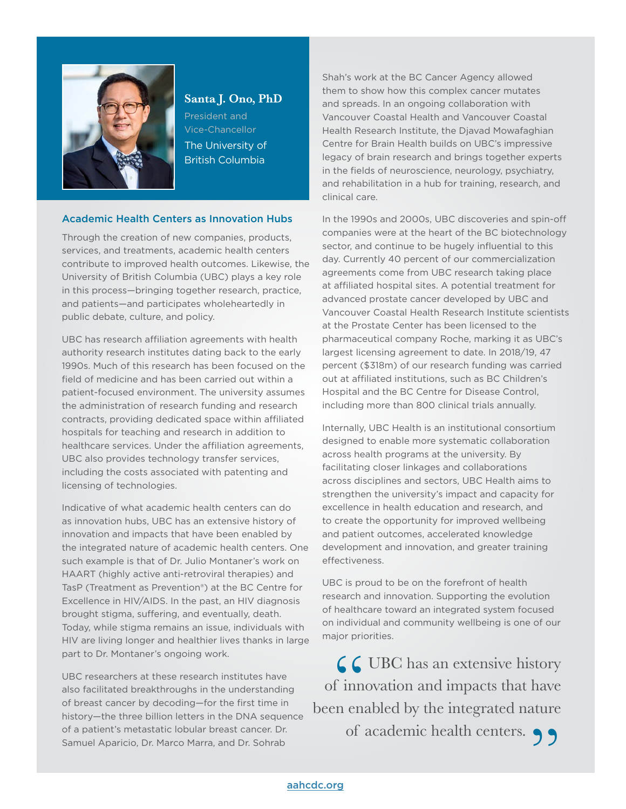

#### **Santa J. Ono, PhD**

President and Vice-Chancellor The University of British Columbia

#### Academic Health Centers as Innovation Hubs

Through the creation of new companies, products, services, and treatments, academic health centers contribute to improved health outcomes. Likewise, the University of British Columbia (UBC) plays a key role in this process—bringing together research, practice, and patients—and participates wholeheartedly in public debate, culture, and policy.

UBC has research affiliation agreements with health authority research institutes dating back to the early 1990s. Much of this research has been focused on the field of medicine and has been carried out within a patient-focused environment. The university assumes the administration of research funding and research contracts, providing dedicated space within affiliated hospitals for teaching and research in addition to healthcare services. Under the affiliation agreements, UBC also provides technology transfer services, including the costs associated with patenting and licensing of technologies.

Indicative of what academic health centers can do as innovation hubs, UBC has an extensive history of innovation and impacts that have been enabled by the integrated nature of academic health centers. One such example is that of Dr. Julio Montaner's work on HAART (highly active anti-retroviral therapies) and TasP (Treatment as Prevention®) at the BC Centre for Excellence in HIV/AIDS. In the past, an HIV diagnosis brought stigma, suffering, and eventually, death. Today, while stigma remains an issue, individuals with HIV are living longer and healthier lives thanks in large part to Dr. Montaner's ongoing work.

UBC researchers at these research institutes have also facilitated breakthroughs in the understanding of breast cancer by decoding—for the first time in history—the three billion letters in the DNA sequence of a patient's metastatic lobular breast cancer. Dr. Samuel Aparicio, Dr. Marco Marra, and Dr. Sohrab

Shah's work at the BC Cancer Agency allowed them to show how this complex cancer mutates and spreads. In an ongoing collaboration with Vancouver Coastal Health and Vancouver Coastal Health Research Institute, the Djavad Mowafaghian Centre for Brain Health builds on UBC's impressive legacy of brain research and brings together experts in the fields of neuroscience, neurology, psychiatry, and rehabilitation in a hub for training, research, and clinical care.

In the 1990s and 2000s, UBC discoveries and spin-off companies were at the heart of the BC biotechnology sector, and continue to be hugely influential to this day. Currently 40 percent of our commercialization agreements come from UBC research taking place at affiliated hospital sites. A potential treatment for advanced prostate cancer developed by UBC and Vancouver Coastal Health Research Institute scientists at the Prostate Center has been licensed to the pharmaceutical company Roche, marking it as UBC's largest licensing agreement to date. In 2018/19, 47 percent (\$318m) of our research funding was carried out at affiliated institutions, such as BC Children's Hospital and the BC Centre for Disease Control, including more than 800 clinical trials annually.

Internally, UBC Health is an institutional consortium designed to enable more systematic collaboration across health programs at the university. By facilitating closer linkages and collaborations across disciplines and sectors, UBC Health aims to strengthen the university's impact and capacity for excellence in health education and research, and to create the opportunity for improved wellbeing and patient outcomes, accelerated knowledge development and innovation, and greater training effectiveness.

UBC is proud to be on the forefront of health research and innovation. Supporting the evolution of healthcare toward an integrated system focused on individual and community wellbeing is one of our major priorities.

 $\begin{array}{c} 6 \\ 6 \\ \text{f} \\ \text{in} \\ \text{en} \end{array}$  $\mathcal{L}$  UBC has an extensive history of innovation and impacts that have been enabled by the integrated nature of academic health centers. 99